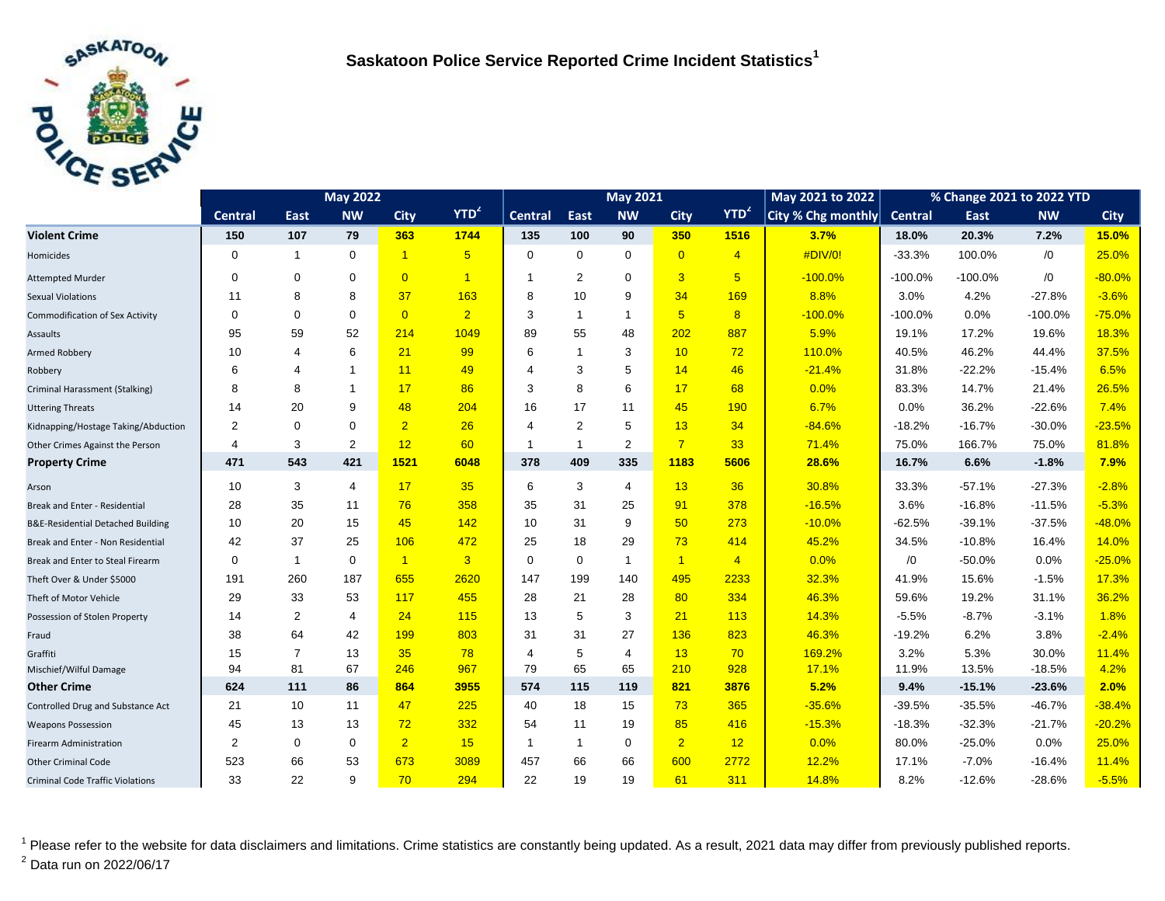

|                                              | <b>May 2022</b> |                |                |                |                      | <b>May 2021</b> |                |                |                 |                | May 2021 to 2022   | % Change 2021 to 2022 YTD |           |           |             |
|----------------------------------------------|-----------------|----------------|----------------|----------------|----------------------|-----------------|----------------|----------------|-----------------|----------------|--------------------|---------------------------|-----------|-----------|-------------|
|                                              | <b>Central</b>  | East           | <b>NW</b>      | <b>City</b>    | $YTD^2$              | <b>Central</b>  | East           | <b>NW</b>      | <b>City</b>     | $YTD^2$        | City % Chg monthly | Central                   | East      | <b>NW</b> | <b>City</b> |
| <b>Violent Crime</b>                         | 150             | 107            | 79             | 363            | 1744                 | 135             | 100            | 90             | 350             | 1516           | 3.7%               | 18.0%                     | 20.3%     | 7.2%      | 15.0%       |
| Homicides                                    | 0               | $\mathbf{1}$   | $\mathbf 0$    | $\overline{1}$ | $5\overline{5}$      | $\mathbf 0$     | $\mathbf 0$    | $\mathbf 0$    | $\overline{0}$  | $\overline{4}$ | #DIV/0!            | $-33.3%$                  | 100.0%    | /0        | 25.0%       |
| <b>Attempted Murder</b>                      | 0               | $\mathbf 0$    | $\mathbf 0$    | $\overline{0}$ | $\blacktriangleleft$ |                 | 2              | $\mathbf 0$    | 3               | 5 <sup>5</sup> | $-100.0%$          | $-100.0%$                 | $-100.0%$ | /0        | $-80.0%$    |
| <b>Sexual Violations</b>                     | 11              | 8              | 8              | 37             | 163                  | 8               | 10             | 9              | 34              | 169            | 8.8%               | 3.0%                      | 4.2%      | $-27.8%$  | $-3.6%$     |
| <b>Commodification of Sex Activity</b>       | 0               | $\mathbf 0$    | $\mathbf 0$    | $\overline{0}$ | $\overline{2}$       | 3               | $\mathbf{1}$   | $\overline{1}$ | $5\overline{)}$ | 8              | $-100.0%$          | $-100.0%$                 | 0.0%      | $-100.0%$ | $-75.0%$    |
| Assaults                                     | 95              | 59             | 52             | 214            | 1049                 | 89              | 55             | 48             | 202             | 887            | 5.9%               | 19.1%                     | 17.2%     | 19.6%     | 18.3%       |
| <b>Armed Robbery</b>                         | 10              | $\overline{4}$ | 6              | 21             | 99                   | 6               | $\overline{1}$ | 3              | 10              | 72             | 110.0%             | 40.5%                     | 46.2%     | 44.4%     | 37.5%       |
| Robbery                                      | 6               | $\overline{4}$ | $\mathbf{1}$   | 11             | 49                   | 4               | 3              | 5              | 14              | 46             | $-21.4%$           | 31.8%                     | $-22.2%$  | $-15.4%$  | 6.5%        |
| Criminal Harassment (Stalking)               | 8               | 8              | $\mathbf{1}$   | 17             | 86                   | 3               | 8              | 6              | 17              | 68             | 0.0%               | 83.3%                     | 14.7%     | 21.4%     | 26.5%       |
| <b>Uttering Threats</b>                      | 14              | 20             | 9              | 48             | 204                  | 16              | 17             | 11             | 45              | 190            | 6.7%               | 0.0%                      | 36.2%     | $-22.6%$  | 7.4%        |
| Kidnapping/Hostage Taking/Abduction          | 2               | $\mathbf 0$    | $\mathbf 0$    | $\overline{2}$ | 26                   | $\overline{4}$  | 2              | 5              | 13              | 34             | $-84.6%$           | $-18.2%$                  | $-16.7%$  | $-30.0%$  | $-23.5%$    |
| Other Crimes Against the Person              | 4               | 3              | $\overline{2}$ | 12             | 60                   |                 | $\mathbf{1}$   | 2              | $\overline{7}$  | 33             | 71.4%              | 75.0%                     | 166.7%    | 75.0%     | 81.8%       |
| <b>Property Crime</b>                        | 471             | 543            | 421            | 1521           | 6048                 | 378             | 409            | 335            | 1183            | 5606           | 28.6%              | 16.7%                     | 6.6%      | $-1.8%$   | 7.9%        |
| Arson                                        | 10              | 3              | 4              | 17             | 35                   | 6               | 3              | 4              | 13              | 36             | 30.8%              | 33.3%                     | $-57.1%$  | $-27.3%$  | $-2.8%$     |
| Break and Enter - Residential                | 28              | 35             | 11             | 76             | 358                  | 35              | 31             | 25             | 91              | 378            | $-16.5%$           | 3.6%                      | $-16.8%$  | $-11.5%$  | $-5.3%$     |
| <b>B&amp;E-Residential Detached Building</b> | 10              | 20             | 15             | 45             | 142                  | 10              | 31             | 9              | 50              | 273            | $-10.0%$           | $-62.5%$                  | $-39.1%$  | $-37.5%$  | $-48.0%$    |
| Break and Enter - Non Residential            | 42              | 37             | 25             | 106            | 472                  | 25              | 18             | 29             | 73              | 414            | 45.2%              | 34.5%                     | $-10.8%$  | 16.4%     | 14.0%       |
| Break and Enter to Steal Firearm             | 0               | $\mathbf{1}$   | $\mathbf 0$    | $\overline{1}$ | $\overline{3}$       | $\Omega$        | $\mathbf 0$    | $\overline{1}$ | $\mathbf{1}$    | $\overline{4}$ | 0.0%               | /0                        | $-50.0%$  | 0.0%      | $-25.0%$    |
| Theft Over & Under \$5000                    | 191             | 260            | 187            | 655            | 2620                 | 147             | 199            | 140            | 495             | 2233           | 32.3%              | 41.9%                     | 15.6%     | $-1.5%$   | 17.3%       |
| Theft of Motor Vehicle                       | 29              | 33             | 53             | 117            | 455                  | 28              | 21             | 28             | 80              | 334            | 46.3%              | 59.6%                     | 19.2%     | 31.1%     | 36.2%       |
| Possession of Stolen Property                | 14              | $\overline{2}$ | 4              | 24             | 115                  | 13              | 5              | 3              | 21              | 113            | 14.3%              | $-5.5%$                   | $-8.7%$   | $-3.1%$   | 1.8%        |
| Fraud                                        | 38              | 64             | 42             | 199            | 803                  | 31              | 31             | 27             | 136             | 823            | 46.3%              | $-19.2%$                  | 6.2%      | 3.8%      | $-2.4%$     |
| Graffiti                                     | 15              | $\overline{7}$ | 13             | 35             | 78                   | 4               | 5              | 4              | 13              | 70             | 169.2%             | 3.2%                      | 5.3%      | 30.0%     | 11.4%       |
| Mischief/Wilful Damage                       | 94              | 81             | 67             | 246            | 967                  | 79              | 65             | 65             | 210             | 928            | 17.1%              | 11.9%                     | 13.5%     | $-18.5%$  | 4.2%        |
| <b>Other Crime</b>                           | 624             | 111            | 86             | 864            | 3955                 | 574             | 115            | 119            | 821             | 3876           | 5.2%               | 9.4%                      | $-15.1%$  | $-23.6%$  | 2.0%        |
| Controlled Drug and Substance Act            | 21              | 10             | 11             | 47             | 225                  | 40              | 18             | 15             | 73              | 365            | $-35.6%$           | $-39.5%$                  | $-35.5%$  | $-46.7%$  | $-38.4%$    |
| <b>Weapons Possession</b>                    | 45              | 13             | 13             | 72             | 332                  | 54              | 11             | 19             | 85              | 416            | $-15.3%$           | $-18.3%$                  | $-32.3%$  | $-21.7%$  | $-20.2%$    |
| <b>Firearm Administration</b>                | 2               | 0              | $\mathbf 0$    | $\overline{2}$ | 15                   | $\mathbf{1}$    | $\mathbf{1}$   | 0              | $\overline{2}$  | 12             | 0.0%               | 80.0%                     | $-25.0%$  | 0.0%      | 25.0%       |
| <b>Other Criminal Code</b>                   | 523             | 66             | 53             | 673            | 3089                 | 457             | 66             | 66             | 600             | 2772           | 12.2%              | 17.1%                     | $-7.0%$   | $-16.4%$  | 11.4%       |
| <b>Criminal Code Traffic Violations</b>      | 33              | 22             | 9              | 70             | 294                  | 22              | 19             | 19             | 61              | 311            | 14.8%              | 8.2%                      | $-12.6%$  | $-28.6%$  | $-5.5%$     |

<sup>1</sup> Please refer to the website for data disclaimers and limitations. Crime statistics are constantly being updated. As a result, 2021 data may differ from previously published reports. <sup>2</sup> Data run on 2022/06/17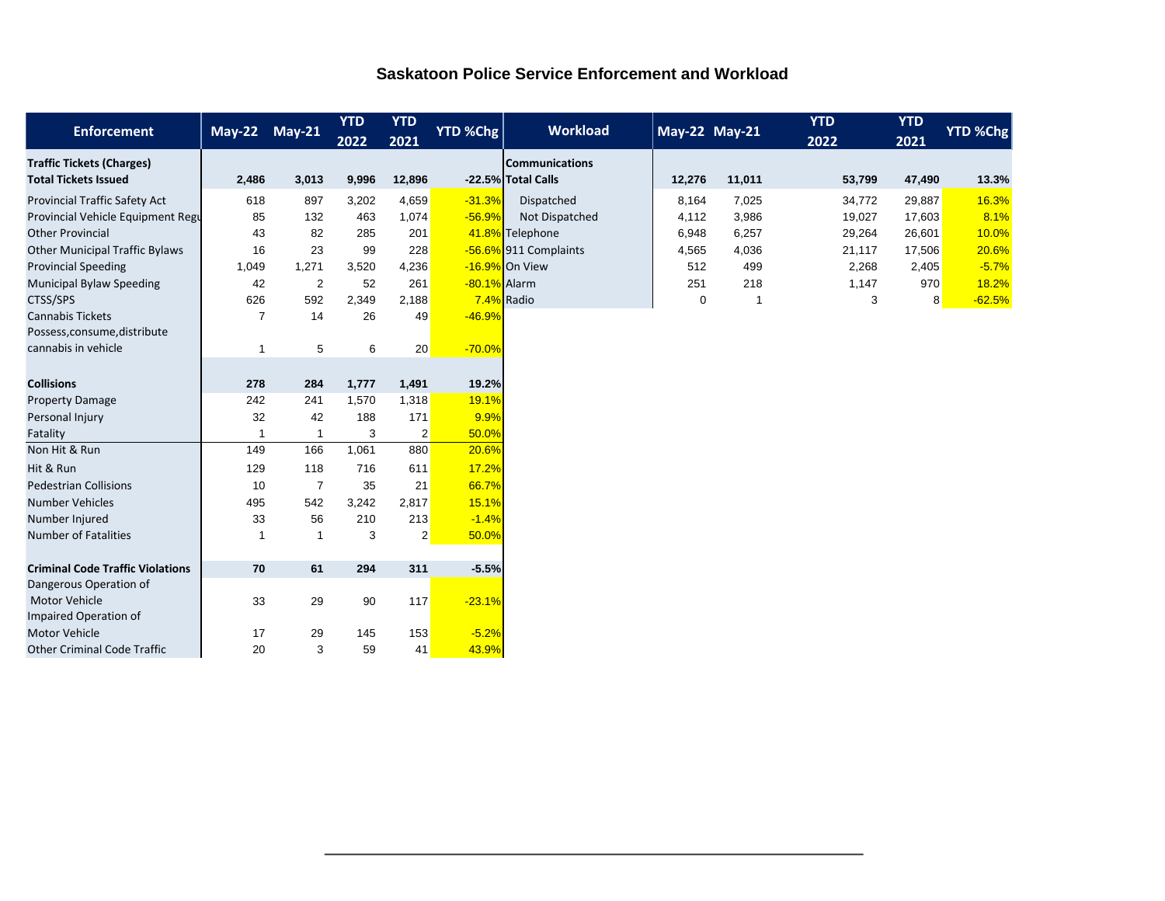## **Saskatoon Police Service Enforcement and Workload**

| <b>Enforcement</b>                      | $\overline{May-22}$ | $May-21$       | <b>YTD</b><br>2022 | <b>YTD</b><br>2021 | YTD %Chg     | <b>Workload</b>       |        | May-22 May-21  | <b>YTD</b><br>2022 | <b>YTD</b><br>2021 | YTD %Chg |
|-----------------------------------------|---------------------|----------------|--------------------|--------------------|--------------|-----------------------|--------|----------------|--------------------|--------------------|----------|
| <b>Traffic Tickets (Charges)</b>        |                     |                |                    |                    |              | <b>Communications</b> |        |                |                    |                    |          |
| <b>Total Tickets Issued</b>             | 2,486               | 3,013          | 9,996              | 12,896             |              | -22.5% Total Calls    | 12,276 | 11,011         | 53,799             | 47,490             | 13.3%    |
| Provincial Traffic Safety Act           | 618                 | 897            | 3,202              | 4,659              | $-31.3%$     | Dispatched            | 8,164  | 7,025          | 34,772             | 29,887             | 16.3%    |
| Provincial Vehicle Equipment Regu       | 85                  | 132            | 463                | 1,074              | $-56.9%$     | Not Dispatched        | 4,112  | 3,986          | 19,027             | 17,603             | 8.1%     |
| <b>Other Provincial</b>                 | 43                  | 82             | 285                | 201                |              | 41.8% Telephone       | 6,948  | 6,257          | 29,264             | 26,601             | 10.0%    |
| <b>Other Municipal Traffic Bylaws</b>   | 16                  | 23             | 99                 | 228                |              | -56.6% 911 Complaints | 4,565  | 4,036          | 21,117             | 17,506             | 20.6%    |
| <b>Provincial Speeding</b>              | 1,049               | 1,271          | 3,520              | 4,236              |              | -16.9% On View        | 512    | 499            | 2,268              | 2,405              | $-5.7%$  |
| <b>Municipal Bylaw Speeding</b>         | 42                  | $\overline{2}$ | 52                 | 261                | -80.1% Alarm |                       | 251    | 218            | 1,147              | 970                | 18.2%    |
| CTSS/SPS                                | 626                 | 592            | 2,349              | 2,188              | 7.4% Radio   |                       | 0      | $\overline{1}$ | 3                  | 8                  | $-62.5%$ |
| <b>Cannabis Tickets</b>                 | $\overline{7}$      | 14             | 26                 | 49                 | $-46.9%$     |                       |        |                |                    |                    |          |
| Possess, consume, distribute            |                     |                |                    |                    |              |                       |        |                |                    |                    |          |
| cannabis in vehicle                     | 1                   | 5              | 6                  | 20                 | $-70.0%$     |                       |        |                |                    |                    |          |
|                                         |                     |                |                    |                    |              |                       |        |                |                    |                    |          |
| <b>Collisions</b>                       | 278                 | 284            | 1,777              | 1,491              | 19.2%        |                       |        |                |                    |                    |          |
| <b>Property Damage</b>                  | 242                 | 241            | 1,570              | 1,318              | 19.1%        |                       |        |                |                    |                    |          |
| Personal Injury                         | 32                  | 42             | 188                | 171                | 9.9%         |                       |        |                |                    |                    |          |
| Fatality                                | 1                   | $\overline{1}$ | 3                  | $\overline{2}$     | 50.0%        |                       |        |                |                    |                    |          |
| Non Hit & Run                           | 149                 | 166            | 1,061              | 880                | 20.6%        |                       |        |                |                    |                    |          |
| Hit & Run                               | 129                 | 118            | 716                | 611                | 17.2%        |                       |        |                |                    |                    |          |
| <b>Pedestrian Collisions</b>            | 10                  | $\overline{7}$ | 35                 | 21                 | 66.7%        |                       |        |                |                    |                    |          |
| <b>Number Vehicles</b>                  | 495                 | 542            | 3,242              | 2,817              | 15.1%        |                       |        |                |                    |                    |          |
| Number Injured                          | 33                  | 56             | 210                | 213                | $-1.4%$      |                       |        |                |                    |                    |          |
| <b>Number of Fatalities</b>             | -1                  | $\mathbf{1}$   | 3                  | $\overline{2}$     | 50.0%        |                       |        |                |                    |                    |          |
|                                         |                     |                |                    |                    |              |                       |        |                |                    |                    |          |
| <b>Criminal Code Traffic Violations</b> | 70                  | 61             | 294                | 311                | $-5.5%$      |                       |        |                |                    |                    |          |
| Dangerous Operation of                  |                     |                |                    |                    |              |                       |        |                |                    |                    |          |
| <b>Motor Vehicle</b>                    | 33                  | 29             | 90                 | 117                | $-23.1%$     |                       |        |                |                    |                    |          |
| Impaired Operation of                   |                     |                |                    |                    |              |                       |        |                |                    |                    |          |
| <b>Motor Vehicle</b>                    | 17                  | 29             | 145                | 153                | $-5.2%$      |                       |        |                |                    |                    |          |
| <b>Other Criminal Code Traffic</b>      | 20                  | 3              | 59                 | 41                 | 43.9%        |                       |        |                |                    |                    |          |